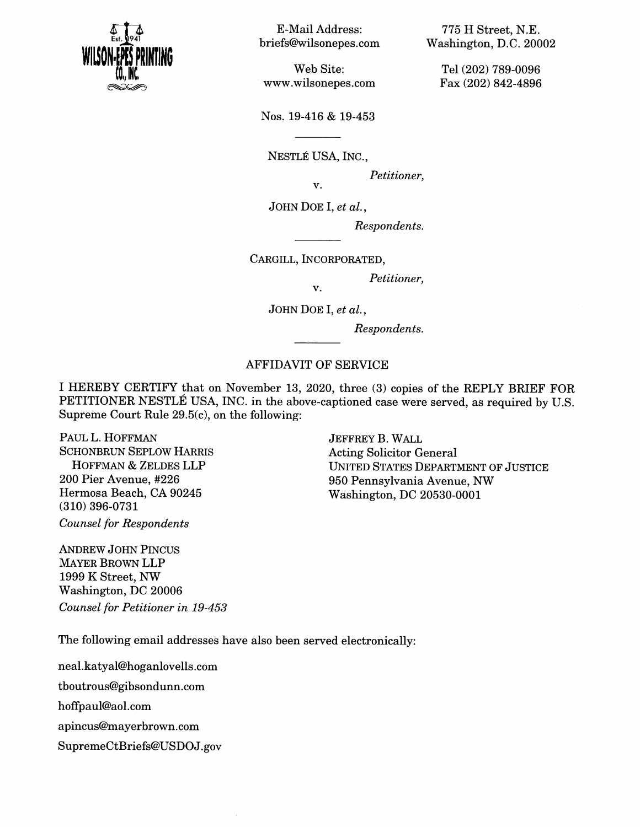

**E-Mail Address: briefs@wilsonepes.com** 

**Web Site: www.wilsonepes.com** 

**Nos. 19-416 & 19-453** 

**NESTLE USA, INC.,** 

*Petitioner,* 

**775 H Street, N.E. Washington, D.C. 20002** 

> **Tel (202) 789-0096 Fax (202) 842-4896**

**JOHN DOE I,** *et al.,* 

**v.** 

*Respondents.* 

**CARGILL, INCORPORATED,** 

*Petitioner,* 

JOHN DOE I, et al.,

**v.** 

*Respondents.* 

## **AFFIDAVIT OF SERVICE**

**I HEREBY CERTIFY that on November 13, 2020, three (3) copies of the REPLY BRIEF FOR PETITIONER NESTLE USA, INC. in the above-captioned case were served, as required by U.S. Supreme Court Rule 29.5(c), on the following:** 

**PAUL L. HOFFMAN SCHONBRUN SEPLOW HARRIS HOFFMAN & ZELDES LLP 200 Pier Avenue, #226 Hermosa Beach, CA 90245 (310) 396-0731**  *Counsel for Respondents* 

**JEFFREY B. WALL Acting Solicitor General UNITED STATES DEPARTMENT OF JUSTICE 950 Pennsylvania Avenue, NW Washington, DC 20530-0001** 

**ANDREW JOHN PINCUS MAYER BROWN LLP 1999 K Street, NW Washington, DC 20006**  *Counsel for Petitioner in 19-453* 

**The following email addresses have also been served electronically:** 

÷.

**neal.katyal@hoganlovells.com tboutrous@gibsondunn.com** 

**hoffpaul@aol.com** 

**apincus@mayerbrown.com** 

**SupremeCtBriefs@USD0J.gov**